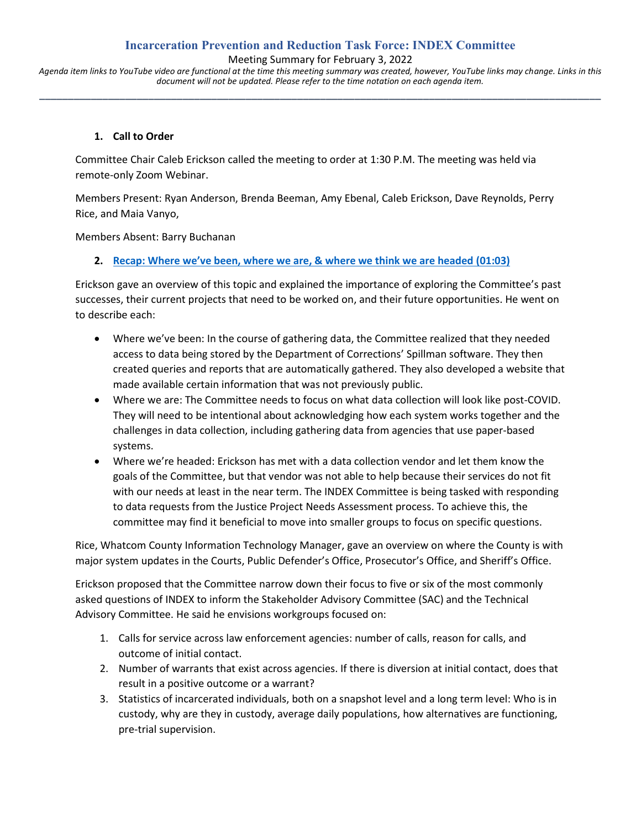## **Incarceration Prevention and Reduction Task Force: INDEX Committee**

Meeting Summary for February 3, 2022

*Agenda item links to YouTube video are functional at the time this meeting summary was created, however, YouTube links may change. Links in this document will not be updated. Please refer to the time notation on each agenda item.* **\_\_\_\_\_\_\_\_\_\_\_\_\_\_\_\_\_\_\_\_\_\_\_\_\_\_\_\_\_\_\_\_\_\_\_\_\_\_\_\_\_\_\_\_\_\_\_\_\_\_\_\_\_\_\_\_\_\_\_\_\_\_\_\_\_\_\_\_\_\_\_\_\_\_\_\_\_\_\_\_\_\_\_\_\_\_\_\_\_\_\_\_\_\_\_\_\_\_**

### **1. Call to Order**

Committee Chair Caleb Erickson called the meeting to order at 1:30 P.M. The meeting was held via remote-only Zoom Webinar.

Members Present: Ryan Anderson, Brenda Beeman, Amy Ebenal, Caleb Erickson, Dave Reynolds, Perry Rice, and Maia Vanyo,

Members Absent: Barry Buchanan

#### **2. [Recap: Where we've been, where we are, & where we think we are headed](https://www.youtube.com/watch?v=uzfBDyix084&t=63s) (01:03)**

Erickson gave an overview of this topic and explained the importance of exploring the Committee's past successes, their current projects that need to be worked on, and their future opportunities. He went on to describe each:

- Where we've been: In the course of gathering data, the Committee realized that they needed access to data being stored by the Department of Corrections' Spillman software. They then created queries and reports that are automatically gathered. They also developed a website that made available certain information that was not previously public.
- Where we are: The Committee needs to focus on what data collection will look like post-COVID. They will need to be intentional about acknowledging how each system works together and the challenges in data collection, including gathering data from agencies that use paper-based systems.
- Where we're headed: Erickson has met with a data collection vendor and let them know the goals of the Committee, but that vendor was not able to help because their services do not fit with our needs at least in the near term. The INDEX Committee is being tasked with responding to data requests from the Justice Project Needs Assessment process. To achieve this, the committee may find it beneficial to move into smaller groups to focus on specific questions.

Rice, Whatcom County Information Technology Manager, gave an overview on where the County is with major system updates in the Courts, Public Defender's Office, Prosecutor's Office, and Sheriff's Office.

Erickson proposed that the Committee narrow down their focus to five or six of the most commonly asked questions of INDEX to inform the Stakeholder Advisory Committee (SAC) and the Technical Advisory Committee. He said he envisions workgroups focused on:

- 1. Calls for service across law enforcement agencies: number of calls, reason for calls, and outcome of initial contact.
- 2. Number of warrants that exist across agencies. If there is diversion at initial contact, does that result in a positive outcome or a warrant?
- 3. Statistics of incarcerated individuals, both on a snapshot level and a long term level: Who is in custody, why are they in custody, average daily populations, how alternatives are functioning, pre-trial supervision.